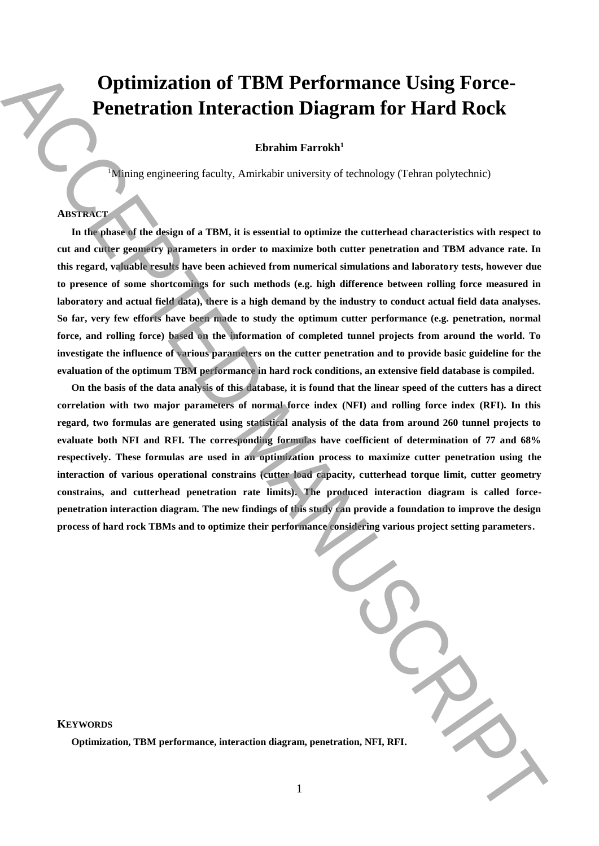# **Optimization of TBM Performance Using Force-Penetration Interaction Diagram for Hard Rock**

**Ebrahim Farrokh<sup>1</sup>**

<sup>1</sup>Mining engineering faculty, Amirkabir university of technology (Tehran polytechnic)

# **ABSTRACT**

**In the phase of the design of a TBM, it is essential to optimize the cutterhead characteristics with respect to cut and cutter geometry parameters in order to maximize both cutter penetration and TBM advance rate. In this regard, valuable results have been achieved from numerical simulations and laboratory tests, however due to presence of some shortcomings for such methods (e.g. high difference between rolling force measured in laboratory and actual field data), there is a high demand by the industry to conduct actual field data analyses. So far, very few efforts have been made to study the optimum cutter performance (e.g. penetration, normal force, and rolling force) based on the information of completed tunnel projects from around the world. To investigate the influence of various parameters on the cutter penetration and to provide basic guideline for the evaluation of the optimum TBM performance in hard rock conditions, an extensive field database is compiled.**

**On the basis of the data analysis of this database, it is found that the linear speed of the cutters has a direct correlation with two major parameters of normal force index (NFI) and rolling force index (RFI). In this regard, two formulas are generated using statistical analysis of the data from around 260 tunnel projects to evaluate both NFI and RFI. The corresponding formulas have coefficient of determination of 77 and 68% respectively. These formulas are used in an optimization process to maximize cutter penetration using the interaction of various operational constrains (cutter load capacity, cutterhead torque limit, cutter geometry constrains, and cutterhead penetration rate limits). The produced interaction diagram is called forcepenetration interaction diagram. The new findings of this study can provide a foundation to improve the design process of hard rock TBMs and to optimize their performance considering various project setting parameters. Continued and CERT CONFIDENTIAL CONFIDENTIAL CONFIDENTIAL CONFIDENTIAL CONFIDENTIAL CONFIDENTIAL CONFIDENTIAL CONFIDENTIAL CONFIDENTIAL CONFIDENTIAL CONFIDENTIAL CONFIDENTIAL CONFIDENTIAL CONFIDENTIAL CONFIDENTIAL CONFID** 

| tration, NFI, RFI. |  |
|--------------------|--|

**KEYWORDS**

**Optimization, TBM performance, interaction diagram, penetration**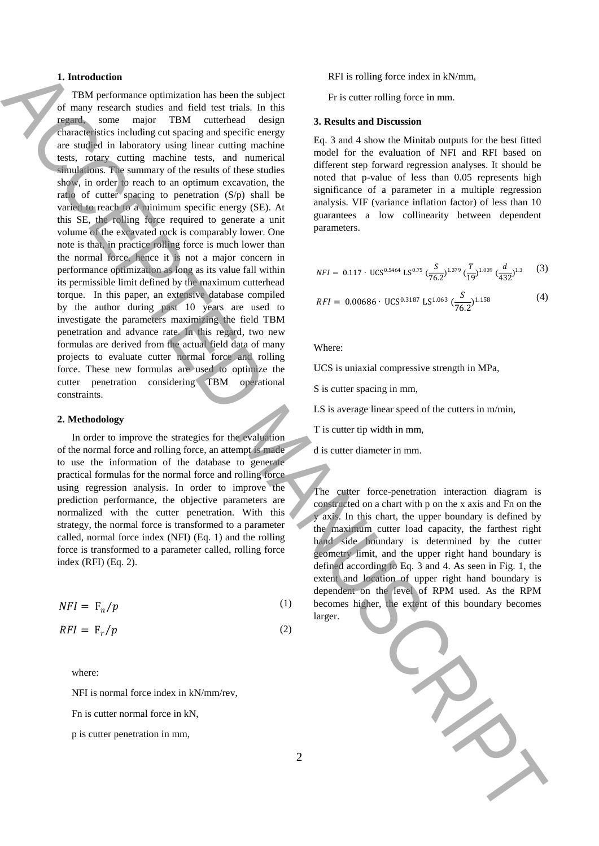## **1. Introduction**

TBM performance optimization has been the subject of many research studies and field test trials. In this regard, some major TBM cutterhead design characteristics including cut spacing and specific energy are studied in laboratory using linear cutting machine tests, rotary cutting machine tests, and numerical simulations. The summary of the results of these studies show, in order to reach to an optimum excavation, the ratio of cutter spacing to penetration (S/p) shall be varied to reach to a minimum specific energy (SE). At this SE, the rolling force required to generate a unit volume of the excavated rock is comparably lower. One note is that, in practice rolling force is much lower than the normal force, hence it is not a major concern in performance optimization as long as its value fall within its permissible limit defined by the maximum cutterhead torque. In this paper, an extensive database compiled by the author during past 10 years are used to investigate the parameters maximizing the field TBM penetration and advance rate. In this regard, two new formulas are derived from the actual field data of many projects to evaluate cutter normal force and rolling force. These new formulas are used to optimize the cutter penetration considering TBM operational constraints. **1.** Interiorities equivariant that the main of the second the second term in the second term in the second term in the second term in the second term in the second term in the second term in the second term in the second

#### **2. Methodology**

In order to improve the strategies for the evaluation of the normal force and rolling force, an attempt is made to use the information of the database to generate practical formulas for the normal force and rolling force using regression analysis. In order to improve the prediction performance, the objective parameters are normalized with the cutter penetration. With this strategy, the normal force is transformed to a parameter called, normal force index (NFI) (Eq. 1) and the rolling force is transformed to a parameter called, rolling force index (RFI) (Eq. 2).

$$
NFI = \mathcal{F}_n/p \tag{1}
$$

$$
RFI = \mathbf{F}_r/p \tag{2}
$$

where:

NFI is normal force index in kN/mm/rev,

Fn is cutter normal force in kN,

p is cutter penetration in mm,

RFI is rolling force index in kN/mm,

Fr is cutter rolling force in mm.

### **3. Results and Discussion**

Eq. 3 and 4 show the Minitab outputs for the best fitted model for the evaluation of NFI and RFI based on different step forward regression analyses. It should be noted that p-value of less than 0.05 represents high significance of a parameter in a multiple regression analysis. VIF (variance inflation factor) of less than 10 guarantees a low collinearity between dependent parameters.

$$
NFI = 0.117 \cdot \text{UCS}^{0.5464} \text{ LS}^{0.75} \left(\frac{S}{76.2}\right)^{1.379} \left(\frac{T}{19}\right)^{1.039} \left(\frac{d}{432}\right)^{1.3} \tag{3}
$$

$$
RFI = 0.00686 \cdot \text{UCS}^{0.3187} \text{ LS}^{1.063} \left(\frac{S}{76.2}\right)^{1.158} \tag{4}
$$

Where:

UCS is uniaxial compressive strength in MPa,

S is cutter spacing in mm,

LS is average linear speed of the cutters in m/min,

T is cutter tip width in mm,

d is cutter diameter in mm.

The cutter force-penetration interaction diagram is constructed on a chart with p on the x axis and Fn on the y axis. In this chart, the upper boundary is defined by the maximum cutter load capacity, the farthest right hand side boundary is determined by the cutter geometry limit, and the upper right hand boundary is defined according to Eq. 3 and 4. As seen in Fig. 1, the extent and location of upper right hand boundary is dependent on the level of RPM used. As the RPM becomes higher, the extent of this boundary becomes larger.